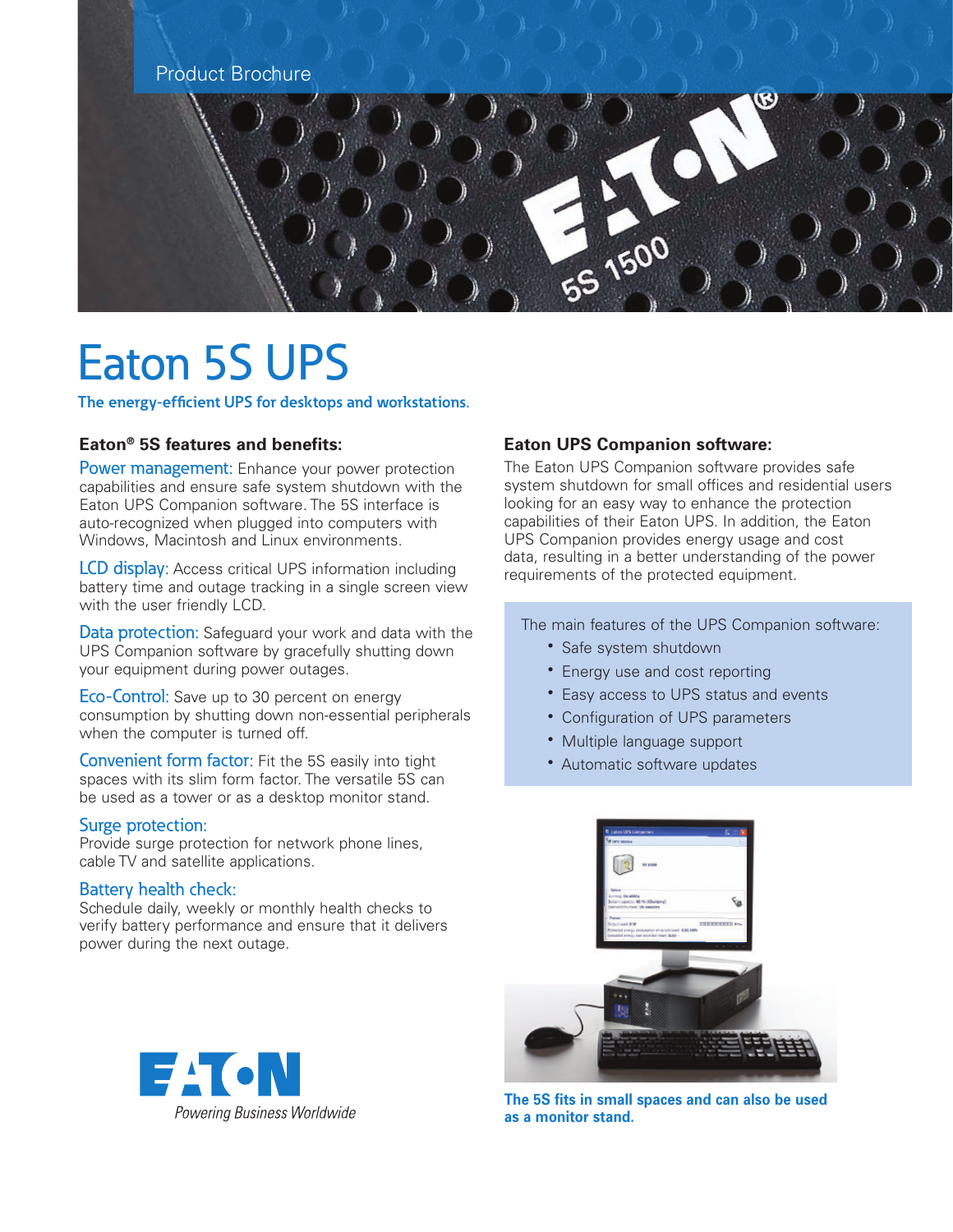

# Eaton 5S UPS

**The energy-efficient UPS for desktops and workstations.**

## **Eaton® 5S features and benefits:**

Power management: Enhance your power protection capabilities and ensure safe system shutdown with the Eaton UPS Companion software. The 5S interface is auto-recognized when plugged into computers with Windows, Macintosh and Linux environments.

LCD display: Access critical UPS information including battery time and outage tracking in a single screen view with the user friendly LCD.

Data protection: Safeguard your work and data with the UPS Companion software by gracefully shutting down your equipment during power outages.

Eco-Control: Save up to 30 percent on energy consumption by shutting down non-essential peripherals when the computer is turned off.

Convenient form factor: Fit the 5S easily into tight spaces with its slim form factor. The versatile 5S can be used as a tower or as a desktop monitor stand.

#### Surge protection:

Provide surge protection for network phone lines, cable TV and satellite applications.

#### Battery health check:

Schedule daily, weekly or monthly health checks to verify battery performance and ensure that it delivers power during the next outage.



## **Eaton UPS Companion software:**

The Eaton UPS Companion software provides safe system shutdown for small offices and residential users looking for an easy way to enhance the protection capabilities of their Eaton UPS. In addition, the Eaton UPS Companion provides energy usage and cost data, resulting in a better understanding of the power requirements of the protected equipment.

The main features of the UPS Companion software:

- Safe system shutdown
- Energy use and cost reporting
- Easy access to UPS status and events
- Configuration of UPS parameters
- Multiple language support
- Automatic software updates



**The 5S fits in small spaces and can also be used as a monitor stand.**